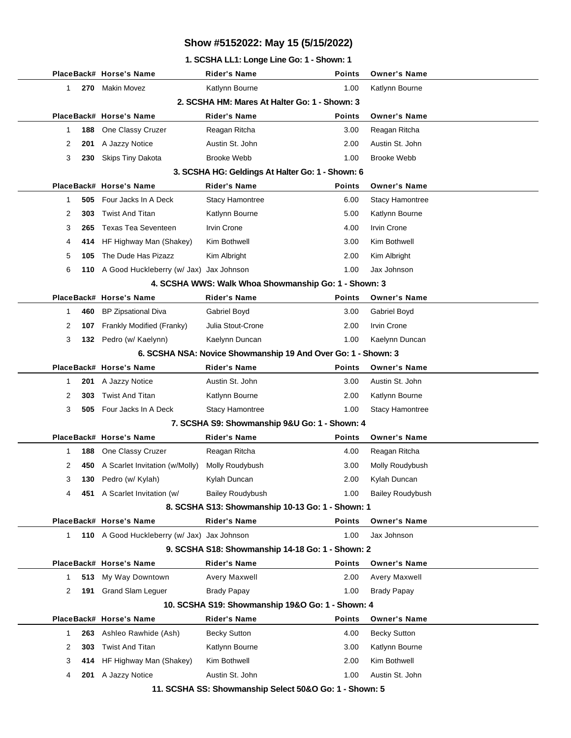#### **1. SCSHA LL1: Longe Line Go: 1 - Shown: 1**

|              |     | PlaceBack# Horse's Name                     | <b>Rider's Name</b>                                           | <b>Points</b> | <b>Owner's Name</b>     |
|--------------|-----|---------------------------------------------|---------------------------------------------------------------|---------------|-------------------------|
| 1            | 270 | Makin Movez                                 | Katlynn Bourne                                                | 1.00          | Katlynn Bourne          |
|              |     |                                             | 2. SCSHA HM: Mares At Halter Go: 1 - Shown: 3                 |               |                         |
|              |     | PlaceBack# Horse's Name                     | <b>Rider's Name</b>                                           | <b>Points</b> | <b>Owner's Name</b>     |
| 1            | 188 | One Classy Cruzer                           | Reagan Ritcha                                                 | 3.00          | Reagan Ritcha           |
| 2            | 201 | A Jazzy Notice                              | Austin St. John                                               | 2.00          | Austin St. John         |
| 3            | 230 | Skips Tiny Dakota                           | <b>Brooke Webb</b>                                            | 1.00          | <b>Brooke Webb</b>      |
|              |     |                                             | 3. SCSHA HG: Geldings At Halter Go: 1 - Shown: 6              |               |                         |
|              |     | PlaceBack# Horse's Name                     | <b>Rider's Name</b>                                           | <b>Points</b> | <b>Owner's Name</b>     |
| 1            | 505 | Four Jacks In A Deck                        | <b>Stacy Hamontree</b>                                        | 6.00          | Stacy Hamontree         |
| 2            | 303 | <b>Twist And Titan</b>                      | Katlynn Bourne                                                | 5.00          | Katlynn Bourne          |
| 3            | 265 | <b>Texas Tea Seventeen</b>                  | Irvin Crone                                                   | 4.00          | Irvin Crone             |
| 4            | 414 | HF Highway Man (Shakey)                     | Kim Bothwell                                                  | 3.00          | Kim Bothwell            |
| 5            | 105 | The Dude Has Pizazz                         | Kim Albright                                                  | 2.00          | Kim Albright            |
| 6            |     | 110 A Good Huckleberry (w/ Jax) Jax Johnson |                                                               | 1.00          | Jax Johnson             |
|              |     |                                             | 4. SCSHA WWS: Walk Whoa Showmanship Go: 1 - Shown: 3          |               |                         |
|              |     | PlaceBack# Horse's Name                     | <b>Rider's Name</b>                                           | <b>Points</b> | <b>Owner's Name</b>     |
| 1            | 460 | <b>BP Zipsational Diva</b>                  | Gabriel Boyd                                                  | 3.00          | Gabriel Boyd            |
| 2            | 107 | Frankly Modified (Franky)                   | Julia Stout-Crone                                             | 2.00          | Irvin Crone             |
| 3            | 132 | Pedro (w/ Kaelynn)                          | Kaelynn Duncan                                                | 1.00          | Kaelynn Duncan          |
|              |     |                                             | 6. SCSHA NSA: Novice Showmanship 19 And Over Go: 1 - Shown: 3 |               |                         |
|              |     | PlaceBack# Horse's Name                     | <b>Rider's Name</b>                                           | <b>Points</b> | <b>Owner's Name</b>     |
| 1            | 201 | A Jazzy Notice                              | Austin St. John                                               | 3.00          | Austin St. John         |
| 2            | 303 | <b>Twist And Titan</b>                      | Katlynn Bourne                                                | 2.00          | Katlynn Bourne          |
| 3            | 505 | Four Jacks In A Deck                        | <b>Stacy Hamontree</b>                                        | 1.00          | <b>Stacy Hamontree</b>  |
|              |     |                                             | 7. SCSHA S9: Showmanship 9&U Go: 1 - Shown: 4                 |               |                         |
|              |     | PlaceBack# Horse's Name                     | <b>Rider's Name</b>                                           | <b>Points</b> | <b>Owner's Name</b>     |
| 1            | 188 | One Classy Cruzer                           | Reagan Ritcha                                                 | 4.00          | Reagan Ritcha           |
| 2            | 450 | A Scarlet Invitation (w/Molly)              | Molly Roudybush                                               | 3.00          | Molly Roudybush         |
| 3            | 130 | Pedro (w/ Kylah)                            | Kylah Duncan                                                  | 2.00          | Kylah Duncan            |
| 4            |     | 451 A Scarlet Invitation (w/                | <b>Bailey Roudybush</b>                                       | 1.00          | <b>Bailey Roudybush</b> |
|              |     |                                             | 8. SCSHA S13: Showmanship 10-13 Go: 1 - Shown: 1              |               |                         |
|              |     | PlaceBack# Horse's Name                     | <b>Rider's Name</b>                                           | <b>Points</b> | <b>Owner's Name</b>     |
| $\mathbf{1}$ |     | 110 A Good Huckleberry (w/ Jax) Jax Johnson |                                                               | 1.00          | Jax Johnson             |
|              |     |                                             | 9. SCSHA S18: Showmanship 14-18 Go: 1 - Shown: 2              |               |                         |
|              |     | PlaceBack# Horse's Name                     | <b>Rider's Name</b>                                           | <b>Points</b> | <b>Owner's Name</b>     |
| 1            | 513 | My Way Downtown                             | Avery Maxwell                                                 | 2.00          | Avery Maxwell           |
| 2            | 191 | <b>Grand Slam Leguer</b>                    | <b>Brady Papay</b>                                            | 1.00          | <b>Brady Papay</b>      |
|              |     |                                             | 10. SCSHA S19: Showmanship 19&O Go: 1 - Shown: 4              |               |                         |
|              |     | PlaceBack# Horse's Name                     | <b>Rider's Name</b>                                           | <b>Points</b> | <b>Owner's Name</b>     |
| 1            | 263 | Ashleo Rawhide (Ash)                        | <b>Becky Sutton</b>                                           | 4.00          | <b>Becky Sutton</b>     |
| 2            | 303 | <b>Twist And Titan</b>                      | Katlynn Bourne                                                | 3.00          | Katlynn Bourne          |
| 3            | 414 | HF Highway Man (Shakey)                     | Kim Bothwell                                                  | 2.00          | Kim Bothwell            |
| 4            | 201 | A Jazzy Notice                              | Austin St. John                                               | 1.00          | Austin St. John         |

**11. SCSHA SS: Showmanship Select 50&O Go: 1 - Shown: 5**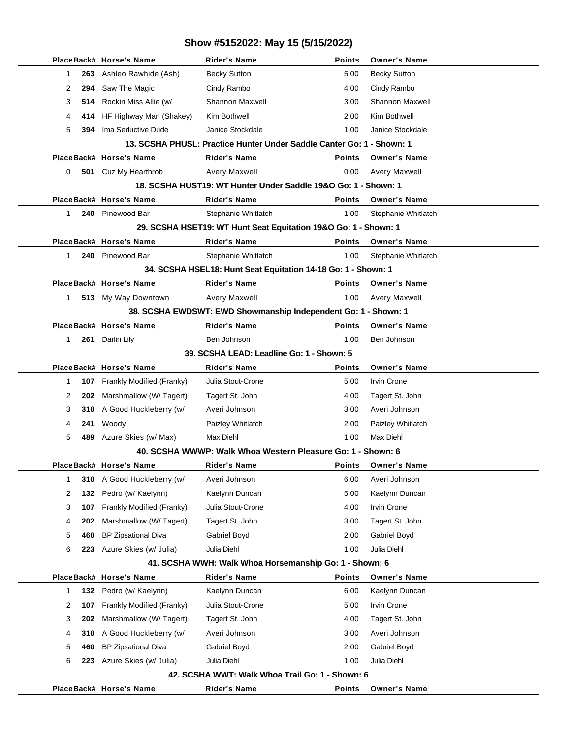|   |                                                                       | PlaceBack# Horse's Name    | Rider's Name                                                    | <b>Points</b> | <b>Owner's Name</b>    |  |  |  |  |
|---|-----------------------------------------------------------------------|----------------------------|-----------------------------------------------------------------|---------------|------------------------|--|--|--|--|
| 1 | 263                                                                   | Ashleo Rawhide (Ash)       | <b>Becky Sutton</b>                                             | 5.00          | <b>Becky Sutton</b>    |  |  |  |  |
| 2 | 294                                                                   | Saw The Magic              | Cindy Rambo                                                     | 4.00          | Cindy Rambo            |  |  |  |  |
| 3 | 514                                                                   | Rockin Miss Allie (w/      | <b>Shannon Maxwell</b>                                          | 3.00          | <b>Shannon Maxwell</b> |  |  |  |  |
| 4 | 414                                                                   | HF Highway Man (Shakey)    | Kim Bothwell                                                    | 2.00          | Kim Bothwell           |  |  |  |  |
| 5 | 394                                                                   | Ima Seductive Dude         | Janice Stockdale                                                | 1.00          | Janice Stockdale       |  |  |  |  |
|   | 13. SCSHA PHUSL: Practice Hunter Under Saddle Canter Go: 1 - Shown: 1 |                            |                                                                 |               |                        |  |  |  |  |
|   |                                                                       | PlaceBack# Horse's Name    | <b>Rider's Name</b>                                             | Points        | <b>Owner's Name</b>    |  |  |  |  |
| 0 |                                                                       | 501 Cuz My Hearthrob       | Avery Maxwell                                                   | 0.00          | Avery Maxwell          |  |  |  |  |
|   | 18. SCSHA HUST19: WT Hunter Under Saddle 19&O Go: 1 - Shown: 1        |                            |                                                                 |               |                        |  |  |  |  |
|   |                                                                       | PlaceBack# Horse's Name    | <b>Rider's Name</b>                                             | <b>Points</b> | <b>Owner's Name</b>    |  |  |  |  |
| 1 | 240                                                                   | Pinewood Bar               | Stephanie Whitlatch                                             | 1.00          | Stephanie Whitlatch    |  |  |  |  |
|   |                                                                       |                            | 29. SCSHA HSET19: WT Hunt Seat Equitation 19&O Go: 1 - Shown: 1 |               |                        |  |  |  |  |
|   |                                                                       | PlaceBack# Horse's Name    | <b>Rider's Name</b>                                             | <b>Points</b> | <b>Owner's Name</b>    |  |  |  |  |
| 1 | 240                                                                   | Pinewood Bar               | Stephanie Whitlatch                                             | 1.00          | Stephanie Whitlatch    |  |  |  |  |
|   |                                                                       |                            | 34. SCSHA HSEL18: Hunt Seat Equitation 14-18 Go: 1 - Shown: 1   |               |                        |  |  |  |  |
|   |                                                                       | PlaceBack# Horse's Name    | <b>Rider's Name</b>                                             | <b>Points</b> | <b>Owner's Name</b>    |  |  |  |  |
| 1 |                                                                       | 513 My Way Downtown        | Avery Maxwell                                                   | 1.00          | <b>Avery Maxwell</b>   |  |  |  |  |
|   |                                                                       |                            | 38. SCSHA EWDSWT: EWD Showmanship Independent Go: 1 - Shown: 1  |               |                        |  |  |  |  |
|   |                                                                       | PlaceBack# Horse's Name    | <b>Rider's Name</b>                                             | <b>Points</b> | <b>Owner's Name</b>    |  |  |  |  |
| 1 | 261                                                                   | Darlin Lily                | Ben Johnson                                                     | 1.00          | Ben Johnson            |  |  |  |  |
|   |                                                                       |                            | 39. SCSHA LEAD: Leadline Go: 1 - Shown: 5                       |               |                        |  |  |  |  |
|   |                                                                       | PlaceBack# Horse's Name    | <b>Rider's Name</b>                                             | <b>Points</b> | <b>Owner's Name</b>    |  |  |  |  |
| 1 | 107                                                                   | Frankly Modified (Franky)  | Julia Stout-Crone                                               | 5.00          | <b>Irvin Crone</b>     |  |  |  |  |
| 2 | 202                                                                   | Marshmallow (W/ Tagert)    | Tagert St. John                                                 | 4.00          | Tagert St. John        |  |  |  |  |
| 3 | 310                                                                   | A Good Huckleberry (w/     | Averi Johnson                                                   | 3.00          | Averi Johnson          |  |  |  |  |
| 4 | 241                                                                   | Woody                      | Paizley Whitlatch                                               | 2.00          | Paizley Whitlatch      |  |  |  |  |
| 5 | 489                                                                   | Azure Skies (w/ Max)       | Max Diehl                                                       | 1.00          | Max Diehl              |  |  |  |  |
|   |                                                                       |                            | 40. SCSHA WWWP: Walk Whoa Western Pleasure Go: 1 - Shown: 6     |               |                        |  |  |  |  |
|   |                                                                       | PlaceBack# Horse's Name    | Rider's Name                                                    | <b>Points</b> | <b>Owner's Name</b>    |  |  |  |  |
| 1 | 310                                                                   | A Good Huckleberry (w/     | Averi Johnson                                                   | 6.00          | Averi Johnson          |  |  |  |  |
| 2 | 132                                                                   | Pedro (w/ Kaelynn)         | Kaelynn Duncan                                                  | 5.00          | Kaelynn Duncan         |  |  |  |  |
| 3 | 107                                                                   | Frankly Modified (Franky)  | Julia Stout-Crone                                               | 4.00          | Irvin Crone            |  |  |  |  |
| 4 | 202                                                                   | Marshmallow (W/Tagert)     | Tagert St. John                                                 | 3.00          | Tagert St. John        |  |  |  |  |
| 5 | 460                                                                   | <b>BP Zipsational Diva</b> | Gabriel Boyd                                                    | 2.00          | Gabriel Boyd           |  |  |  |  |
| 6 | 223                                                                   | Azure Skies (w/ Julia)     | Julia Diehl                                                     | 1.00          | Julia Diehl            |  |  |  |  |
|   |                                                                       |                            | 41. SCSHA WWH: Walk Whoa Horsemanship Go: 1 - Shown: 6          |               |                        |  |  |  |  |
|   |                                                                       | PlaceBack# Horse's Name    | <b>Rider's Name</b>                                             | <b>Points</b> | <b>Owner's Name</b>    |  |  |  |  |
| 1 | 132                                                                   | Pedro (w/ Kaelynn)         | Kaelynn Duncan                                                  | 6.00          | Kaelynn Duncan         |  |  |  |  |
| 2 | 107                                                                   | Frankly Modified (Franky)  | Julia Stout-Crone                                               | 5.00          | Irvin Crone            |  |  |  |  |
| 3 | 202                                                                   | Marshmallow (W/Tagert)     | Tagert St. John                                                 | 4.00          | Tagert St. John        |  |  |  |  |
| 4 | 310                                                                   | A Good Huckleberry (w/     | Averi Johnson                                                   | 3.00          | Averi Johnson          |  |  |  |  |
| 5 | 460                                                                   | <b>BP Zipsational Diva</b> | Gabriel Boyd                                                    | 2.00          | Gabriel Boyd           |  |  |  |  |
| 6 | 223                                                                   | Azure Skies (w/ Julia)     | Julia Diehl                                                     | 1.00          | Julia Diehl            |  |  |  |  |
|   |                                                                       |                            | 42. SCSHA WWT: Walk Whoa Trail Go: 1 - Shown: 6                 |               |                        |  |  |  |  |
|   |                                                                       | PlaceBack# Horse's Name    | <b>Rider's Name</b>                                             | Points        | <b>Owner's Name</b>    |  |  |  |  |
|   |                                                                       |                            |                                                                 |               |                        |  |  |  |  |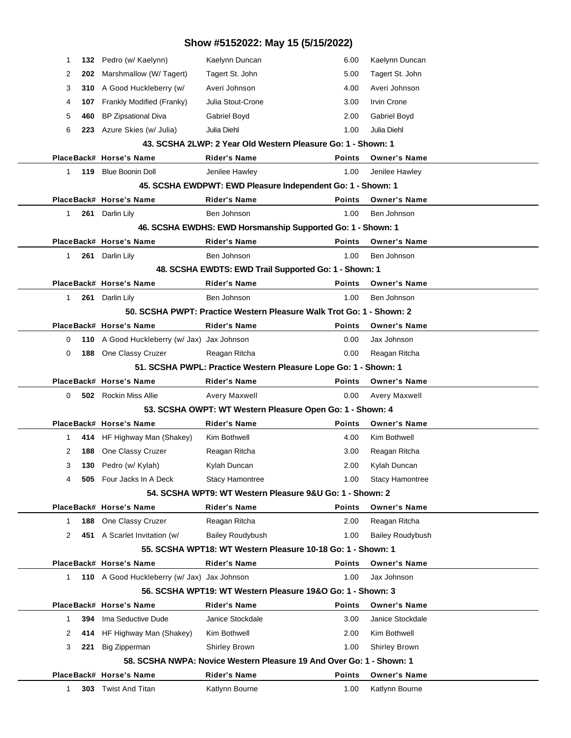| Show #5152022: May 15 (5/15/2022)                          |     |                                             |                                                                      |               |                         |  |  |
|------------------------------------------------------------|-----|---------------------------------------------|----------------------------------------------------------------------|---------------|-------------------------|--|--|
| 1                                                          |     | 132 Pedro (w/ Kaelynn)                      | Kaelynn Duncan                                                       | 6.00          | Kaelynn Duncan          |  |  |
| 2                                                          | 202 | Marshmallow (W/Tagert)                      | Tagert St. John                                                      | 5.00          | Tagert St. John         |  |  |
| 3                                                          |     | 310 A Good Huckleberry (w/                  | Averi Johnson                                                        | 4.00          | Averi Johnson           |  |  |
| 4                                                          | 107 | Frankly Modified (Franky)                   | Julia Stout-Crone                                                    | 3.00          | <b>Irvin Crone</b>      |  |  |
| 5                                                          | 460 | <b>BP Zipsational Diva</b>                  | Gabriel Boyd                                                         | 2.00          | Gabriel Boyd            |  |  |
| 6                                                          |     | 223 Azure Skies (w/ Julia)                  | Julia Diehl                                                          | 1.00          | Julia Diehl             |  |  |
|                                                            |     |                                             | 43. SCSHA 2LWP: 2 Year Old Western Pleasure Go: 1 - Shown: 1         |               |                         |  |  |
|                                                            |     | PlaceBack# Horse's Name                     | <b>Rider's Name</b>                                                  | <b>Points</b> | <b>Owner's Name</b>     |  |  |
| $\mathbf 1$                                                |     | 119 Blue Boonin Doll                        | Jenilee Hawley                                                       | 1.00          | Jenilee Hawley          |  |  |
|                                                            |     |                                             | 45. SCSHA EWDPWT: EWD Pleasure Independent Go: 1 - Shown: 1          |               |                         |  |  |
|                                                            |     | PlaceBack# Horse's Name                     | <b>Rider's Name</b>                                                  | <b>Points</b> | <b>Owner's Name</b>     |  |  |
| $\mathbf{1}$                                               |     | 261 Darlin Lily                             | Ben Johnson                                                          | 1.00          | Ben Johnson             |  |  |
|                                                            |     |                                             | 46. SCSHA EWDHS: EWD Horsmanship Supported Go: 1 - Shown: 1          |               |                         |  |  |
|                                                            |     | PlaceBack# Horse's Name                     | <b>Rider's Name</b>                                                  | <b>Points</b> | <b>Owner's Name</b>     |  |  |
| $\mathbf{1}$                                               |     | 261 Darlin Lily                             | Ben Johnson                                                          | 1.00          | Ben Johnson             |  |  |
|                                                            |     |                                             | 48. SCSHA EWDTS: EWD Trail Supported Go: 1 - Shown: 1                |               |                         |  |  |
|                                                            |     | PlaceBack# Horse's Name                     | <b>Rider's Name</b>                                                  | <b>Points</b> | <b>Owner's Name</b>     |  |  |
| $\mathbf{1}$                                               |     | 261 Darlin Lily                             | Ben Johnson                                                          | 1.00          | Ben Johnson             |  |  |
|                                                            |     |                                             | 50. SCSHA PWPT: Practice Western Pleasure Walk Trot Go: 1 - Shown: 2 |               |                         |  |  |
|                                                            |     | PlaceBack# Horse's Name                     | <b>Rider's Name</b>                                                  | <b>Points</b> | <b>Owner's Name</b>     |  |  |
| 0                                                          |     | 110 A Good Huckleberry (w/ Jax) Jax Johnson |                                                                      | 0.00          | Jax Johnson             |  |  |
| 0                                                          |     | 188 One Classy Cruzer                       | Reagan Ritcha                                                        | 0.00          | Reagan Ritcha           |  |  |
|                                                            |     |                                             | 51. SCSHA PWPL: Practice Western Pleasure Lope Go: 1 - Shown: 1      |               |                         |  |  |
|                                                            |     | PlaceBack# Horse's Name                     | <b>Rider's Name</b>                                                  | <b>Points</b> | <b>Owner's Name</b>     |  |  |
| 0                                                          |     | <b>502</b> Rockin Miss Allie                | Avery Maxwell                                                        | 0.00          | Avery Maxwell           |  |  |
|                                                            |     |                                             | 53. SCSHA OWPT: WT Western Pleasure Open Go: 1 - Shown: 4            |               |                         |  |  |
|                                                            |     | PlaceBack# Horse's Name                     | <b>Rider's Name</b>                                                  | <b>Points</b> | <b>Owner's Name</b>     |  |  |
| $\mathbf{1}$                                               |     | 414 HF Highway Man (Shakey)                 | Kim Bothwell                                                         | 4.00          | Kim Bothwell            |  |  |
| 2                                                          |     | 188 One Classy Cruzer                       | Reagan Ritcha                                                        | 3.00          | Reagan Ritcha           |  |  |
| З                                                          |     | 130 Pedro (w/ Kylah)                        | Kylah Duncan                                                         | 2.00          | Kylah Duncan            |  |  |
| 4                                                          |     | 505 Four Jacks In A Deck                    | <b>Stacy Hamontree</b>                                               | 1.00          | <b>Stacy Hamontree</b>  |  |  |
|                                                            |     |                                             | 54. SCSHA WPT9: WT Western Pleasure 9&U Go: 1 - Shown: 2             |               |                         |  |  |
|                                                            |     | PlaceBack# Horse's Name                     | <b>Rider's Name</b>                                                  | <b>Points</b> | <b>Owner's Name</b>     |  |  |
| $\mathbf{1}$                                               | 188 | One Classy Cruzer                           | Reagan Ritcha                                                        | 2.00          | Reagan Ritcha           |  |  |
| 2                                                          |     | 451 A Scarlet Invitation (w/                | <b>Bailey Roudybush</b>                                              | 1.00          | <b>Bailey Roudybush</b> |  |  |
|                                                            |     |                                             | 55. SCSHA WPT18: WT Western Pleasure 10-18 Go: 1 - Shown: 1          |               |                         |  |  |
|                                                            |     | PlaceBack# Horse's Name                     | <b>Rider's Name</b>                                                  | <b>Points</b> | <b>Owner's Name</b>     |  |  |
| $\mathbf{1}$                                               |     | 110 A Good Huckleberry (w/ Jax) Jax Johnson |                                                                      | 1.00          | Jax Johnson             |  |  |
| 56. SCSHA WPT19: WT Western Pleasure 19&O Go: 1 - Shown: 3 |     |                                             |                                                                      |               |                         |  |  |
|                                                            |     | PlaceBack# Horse's Name                     | <b>Rider's Name</b>                                                  | <b>Points</b> | <b>Owner's Name</b>     |  |  |
| 1                                                          | 394 | Ima Seductive Dude                          | Janice Stockdale                                                     | 3.00          | Janice Stockdale        |  |  |
| 2                                                          | 414 | HF Highway Man (Shakey)                     | Kim Bothwell                                                         | 2.00          | Kim Bothwell            |  |  |
| 3                                                          | 221 | Big Zipperman                               | <b>Shirley Brown</b>                                                 | 1.00          | <b>Shirley Brown</b>    |  |  |
|                                                            |     |                                             | 58. SCSHA NWPA: Novice Western Pleasure 19 And Over Go: 1 - Shown: 1 |               |                         |  |  |
|                                                            |     | PlaceBack# Horse's Name                     | <b>Rider's Name</b>                                                  | <b>Points</b> | <b>Owner's Name</b>     |  |  |
| $\mathbf{1}$                                               |     | 303 Twist And Titan                         | Katlynn Bourne                                                       | 1.00          | Katlynn Bourne          |  |  |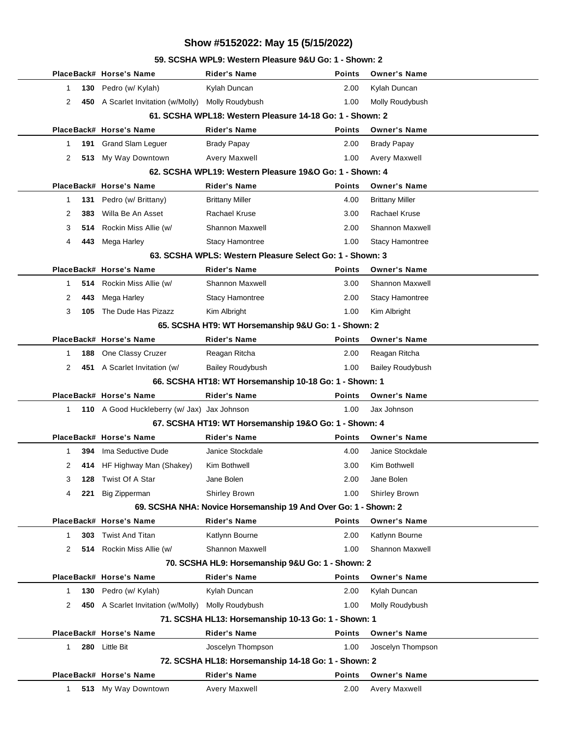#### **59. SCSHA WPL9: Western Pleasure 9&U Go: 1 - Shown: 2**

|   |      | PlaceBack# Horse's Name                            | Rider's Name                                                    | <b>Points</b> | <b>Owner's Name</b>     |
|---|------|----------------------------------------------------|-----------------------------------------------------------------|---------------|-------------------------|
| 1 | 130  | Pedro (w/ Kylah)                                   | Kylah Duncan                                                    | 2.00          | Kylah Duncan            |
| 2 |      | 450 A Scarlet Invitation (w/Molly) Molly Roudybush |                                                                 | 1.00          | Molly Roudybush         |
|   |      |                                                    | 61. SCSHA WPL18: Western Pleasure 14-18 Go: 1 - Shown: 2        |               |                         |
|   |      | PlaceBack# Horse's Name                            | Rider's Name                                                    | <b>Points</b> | <b>Owner's Name</b>     |
| 1 | 191  | <b>Grand Slam Leguer</b>                           | <b>Brady Papay</b>                                              | 2.00          | <b>Brady Papay</b>      |
| 2 |      | 513 My Way Downtown                                | <b>Avery Maxwell</b>                                            | 1.00          | <b>Avery Maxwell</b>    |
|   |      |                                                    | 62. SCSHA WPL19: Western Pleasure 19&O Go: 1 - Shown: 4         |               |                         |
|   |      | PlaceBack# Horse's Name                            | <b>Rider's Name</b>                                             | <b>Points</b> | <b>Owner's Name</b>     |
| 1 | 131  | Pedro (w/ Brittany)                                | <b>Brittany Miller</b>                                          | 4.00          | <b>Brittany Miller</b>  |
| 2 | 383  | Willa Be An Asset                                  | <b>Rachael Kruse</b>                                            | 3.00          | <b>Rachael Kruse</b>    |
| 3 | 514. | Rockin Miss Allie (w/                              | <b>Shannon Maxwell</b>                                          | 2.00          | <b>Shannon Maxwell</b>  |
| 4 | 443  | Mega Harley                                        | <b>Stacy Hamontree</b>                                          | 1.00          | <b>Stacy Hamontree</b>  |
|   |      |                                                    | 63. SCSHA WPLS: Western Pleasure Select Go: 1 - Shown: 3        |               |                         |
|   |      | PlaceBack# Horse's Name                            | Rider's Name                                                    | <b>Points</b> | <b>Owner's Name</b>     |
| 1 |      | 514 Rockin Miss Allie (w/                          | <b>Shannon Maxwell</b>                                          | 3.00          | <b>Shannon Maxwell</b>  |
| 2 | 443  | Mega Harley                                        | <b>Stacy Hamontree</b>                                          | 2.00          | <b>Stacy Hamontree</b>  |
| 3 | 105  | The Dude Has Pizazz                                | Kim Albright                                                    | 1.00          | Kim Albright            |
|   |      |                                                    | 65. SCSHA HT9: WT Horsemanship 9&U Go: 1 - Shown: 2             |               |                         |
|   |      | PlaceBack# Horse's Name                            | <b>Rider's Name</b>                                             | <b>Points</b> | <b>Owner's Name</b>     |
| 1 | 188  | One Classy Cruzer                                  | Reagan Ritcha                                                   | 2.00          | Reagan Ritcha           |
| 2 |      | 451 A Scarlet Invitation (w/                       | <b>Bailey Roudybush</b>                                         | 1.00          | <b>Bailey Roudybush</b> |
|   |      |                                                    | 66. SCSHA HT18: WT Horsemanship 10-18 Go: 1 - Shown: 1          |               |                         |
|   |      | PlaceBack# Horse's Name                            | <b>Rider's Name</b>                                             | <b>Points</b> | <b>Owner's Name</b>     |
| 1 |      | 110 A Good Huckleberry (w/ Jax) Jax Johnson        |                                                                 | 1.00          | Jax Johnson             |
|   |      |                                                    | 67. SCSHA HT19: WT Horsemanship 19&O Go: 1 - Shown: 4           |               |                         |
|   |      | PlaceBack# Horse's Name                            | Rider's Name                                                    | <b>Points</b> | <b>Owner's Name</b>     |
| 1 | 394  | Ima Seductive Dude                                 | Janice Stockdale                                                | 4.00          | Janice Stockdale        |
| 2 |      | 414 HF Highway Man (Shakey)                        | Kim Bothwell                                                    | 3.00          | Kim Bothwell            |
| 3 |      | <b>128</b> Twist Of A Star                         | Jane Bolen                                                      | 2.00          | Jane Bolen              |
| 4 | 221  | Big Zipperman                                      | <b>Shirley Brown</b>                                            | 1.00          | <b>Shirley Brown</b>    |
|   |      |                                                    | 69. SCSHA NHA: Novice Horsemanship 19 And Over Go: 1 - Shown: 2 |               |                         |
|   |      | PlaceBack# Horse's Name                            | <b>Rider's Name</b>                                             | <b>Points</b> | <b>Owner's Name</b>     |
| 1 | 303  | <b>Twist And Titan</b>                             | Katlynn Bourne                                                  | 2.00          | Katlynn Bourne          |
| 2 |      | 514 Rockin Miss Allie (w/                          | <b>Shannon Maxwell</b>                                          | 1.00          | <b>Shannon Maxwell</b>  |
|   |      |                                                    | 70. SCSHA HL9: Horsemanship 9&U Go: 1 - Shown: 2                |               |                         |
|   |      | PlaceBack# Horse's Name                            | <b>Rider's Name</b>                                             | <b>Points</b> | <b>Owner's Name</b>     |
| 1 | 130  | Pedro (w/ Kylah)                                   | Kylah Duncan                                                    | 2.00          | Kylah Duncan            |
| 2 | 450  | A Scarlet Invitation (w/Molly)                     | Molly Roudybush                                                 | 1.00          | Molly Roudybush         |
|   |      |                                                    | 71. SCSHA HL13: Horsemanship 10-13 Go: 1 - Shown: 1             |               |                         |
|   |      | PlaceBack# Horse's Name                            | <b>Rider's Name</b>                                             | <b>Points</b> | <b>Owner's Name</b>     |
| 1 | 280  | <b>Little Bit</b>                                  | Joscelyn Thompson                                               | 1.00          | Joscelyn Thompson       |
|   |      |                                                    | 72. SCSHA HL18: Horsemanship 14-18 Go: 1 - Shown: 2             |               |                         |
|   |      | PlaceBack# Horse's Name                            | <b>Rider's Name</b>                                             | <b>Points</b> | <b>Owner's Name</b>     |
| 1 |      | 513 My Way Downtown                                | <b>Avery Maxwell</b>                                            | 2.00          | Avery Maxwell           |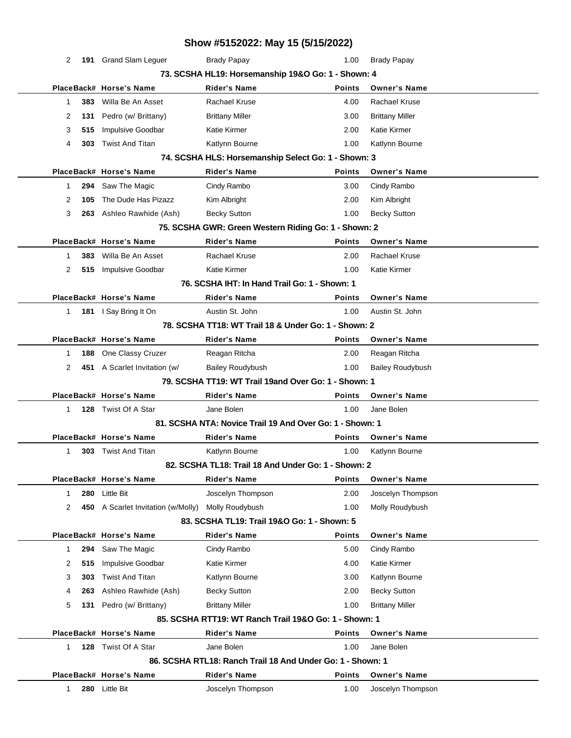|                                                      |     |                                    | Show #5152022: May 15 (5/15/2022)                                  |               |                         |  |  |  |
|------------------------------------------------------|-----|------------------------------------|--------------------------------------------------------------------|---------------|-------------------------|--|--|--|
| 2                                                    |     | 191 Grand Slam Leguer              | <b>Brady Papay</b>                                                 | 1.00          | <b>Brady Papay</b>      |  |  |  |
|                                                      |     |                                    | 73. SCSHA HL19: Horsemanship 19&O Go: 1 - Shown: 4                 |               |                         |  |  |  |
|                                                      |     | PlaceBack# Horse's Name            | <b>Rider's Name</b>                                                | <b>Points</b> | <b>Owner's Name</b>     |  |  |  |
| 1                                                    | 383 | Willa Be An Asset                  | <b>Rachael Kruse</b>                                               | 4.00          | Rachael Kruse           |  |  |  |
| 2                                                    | 131 | Pedro (w/ Brittany)                | <b>Brittany Miller</b>                                             | 3.00          | <b>Brittany Miller</b>  |  |  |  |
| 3                                                    | 515 | <b>Impulsive Goodbar</b>           | <b>Katie Kirmer</b>                                                | 2.00          | <b>Katie Kirmer</b>     |  |  |  |
| 4                                                    | 303 | <b>Twist And Titan</b>             | Katlynn Bourne                                                     | 1.00          | Katlynn Bourne          |  |  |  |
|                                                      |     |                                    | 74. SCSHA HLS: Horsemanship Select Go: 1 - Shown: 3                |               |                         |  |  |  |
|                                                      |     | PlaceBack# Horse's Name            | <b>Rider's Name</b>                                                | <b>Points</b> | <b>Owner's Name</b>     |  |  |  |
| 1                                                    | 294 | Saw The Magic                      | Cindy Rambo                                                        | 3.00          | Cindy Rambo             |  |  |  |
| 2                                                    | 105 | The Dude Has Pizazz                | Kim Albright                                                       | 2.00          | Kim Albright            |  |  |  |
| 3                                                    | 263 | Ashleo Rawhide (Ash)               | <b>Becky Sutton</b>                                                | 1.00          | <b>Becky Sutton</b>     |  |  |  |
|                                                      |     |                                    | 75. SCSHA GWR: Green Western Riding Go: 1 - Shown: 2               |               |                         |  |  |  |
|                                                      |     | PlaceBack# Horse's Name            | <b>Rider's Name</b>                                                | <b>Points</b> | <b>Owner's Name</b>     |  |  |  |
| 1                                                    | 383 | Willa Be An Asset                  | <b>Rachael Kruse</b>                                               | 2.00          | Rachael Kruse           |  |  |  |
| 2                                                    | 515 | Impulsive Goodbar                  | <b>Katie Kirmer</b>                                                | 1.00          | Katie Kirmer            |  |  |  |
|                                                      |     |                                    | 76. SCSHA IHT: In Hand Trail Go: 1 - Shown: 1                      |               |                         |  |  |  |
|                                                      |     | PlaceBack# Horse's Name            | <b>Rider's Name</b>                                                | <b>Points</b> | <b>Owner's Name</b>     |  |  |  |
| 1                                                    |     | 181 I Say Bring It On              | Austin St. John                                                    | 1.00          | Austin St. John         |  |  |  |
| 78. SCSHA TT18: WT Trail 18 & Under Go: 1 - Shown: 2 |     |                                    |                                                                    |               |                         |  |  |  |
|                                                      |     | PlaceBack# Horse's Name            | Rider's Name                                                       | <b>Points</b> | <b>Owner's Name</b>     |  |  |  |
| 1                                                    | 188 | One Classy Cruzer                  | Reagan Ritcha                                                      | 2.00          | Reagan Ritcha           |  |  |  |
| 2                                                    |     | 451 A Scarlet Invitation (w/       | <b>Bailey Roudybush</b>                                            | 1.00          | <b>Bailey Roudybush</b> |  |  |  |
|                                                      |     |                                    | 79. SCSHA TT19: WT Trail 19and Over Go: 1 - Shown: 1               |               |                         |  |  |  |
|                                                      |     | PlaceBack# Horse's Name            | <b>Rider's Name</b>                                                | Points        | <b>Owner's Name</b>     |  |  |  |
| $\mathbf{1}$                                         | 128 | Twist Of A Star                    | Jane Bolen                                                         | 1.00          | Jane Bolen              |  |  |  |
|                                                      |     |                                    | 81. SCSHA NTA: Novice Trail 19 And Over Go: 1 - Shown: 1           |               |                         |  |  |  |
|                                                      |     | PlaceBack# Horse's Name            | <b>Rider's Name</b>                                                | <b>Points</b> | <b>Owner's Name</b>     |  |  |  |
| 1                                                    |     | <b>303</b> Twist And Titan         | Katlynn Bourne                                                     | 1.00          | Katlynn Bourne          |  |  |  |
|                                                      |     |                                    | 82. SCSHA TL18: Trail 18 And Under Go: 1 - Shown: 2                |               |                         |  |  |  |
|                                                      |     | PlaceBack# Horse's Name            | Rider's Name                                                       | <b>Points</b> | <b>Owner's Name</b>     |  |  |  |
| 1                                                    | 280 | <b>Little Bit</b>                  | Joscelyn Thompson                                                  | 2.00          | Joscelyn Thompson       |  |  |  |
| 2                                                    |     | 450 A Scarlet Invitation (w/Molly) | Molly Roudybush                                                    | 1.00          | Molly Roudybush         |  |  |  |
|                                                      |     | PlaceBack# Horse's Name            | 83. SCSHA TL19: Trail 19&O Go: 1 - Shown: 5<br><b>Rider's Name</b> | <b>Points</b> | <b>Owner's Name</b>     |  |  |  |
| 1                                                    | 294 | Saw The Magic                      | Cindy Rambo                                                        | 5.00          | Cindy Rambo             |  |  |  |
| 2                                                    | 515 | <b>Impulsive Goodbar</b>           | <b>Katie Kirmer</b>                                                | 4.00          | Katie Kirmer            |  |  |  |
| 3                                                    | 303 | <b>Twist And Titan</b>             | Katlynn Bourne                                                     | 3.00          | Katlynn Bourne          |  |  |  |
| 4                                                    | 263 | Ashleo Rawhide (Ash)               | <b>Becky Sutton</b>                                                | 2.00          | <b>Becky Sutton</b>     |  |  |  |
| 5                                                    | 131 | Pedro (w/ Brittany)                | <b>Brittany Miller</b>                                             | 1.00          | <b>Brittany Miller</b>  |  |  |  |
|                                                      |     |                                    | 85, SCSHA RTT19: WT Ranch Trail 19&O Go: 1 - Shown: 1              |               |                         |  |  |  |
|                                                      |     | PlaceBack# Horse's Name            | <b>Rider's Name</b>                                                | <b>Points</b> | <b>Owner's Name</b>     |  |  |  |
| 1                                                    |     | 128 Twist Of A Star                | Jane Bolen                                                         | 1.00          | Jane Bolen              |  |  |  |
|                                                      |     |                                    | 86, SCSHA RTL18: Ranch Trail 18 And Under Go: 1 - Shown: 1         |               |                         |  |  |  |
|                                                      |     | PlaceBack# Horse's Name            | <b>Rider's Name</b>                                                | <b>Points</b> | <b>Owner's Name</b>     |  |  |  |
| 1                                                    | 280 | <b>Little Bit</b>                  | Joscelyn Thompson                                                  | 1.00          | Joscelyn Thompson       |  |  |  |
|                                                      |     |                                    |                                                                    |               |                         |  |  |  |